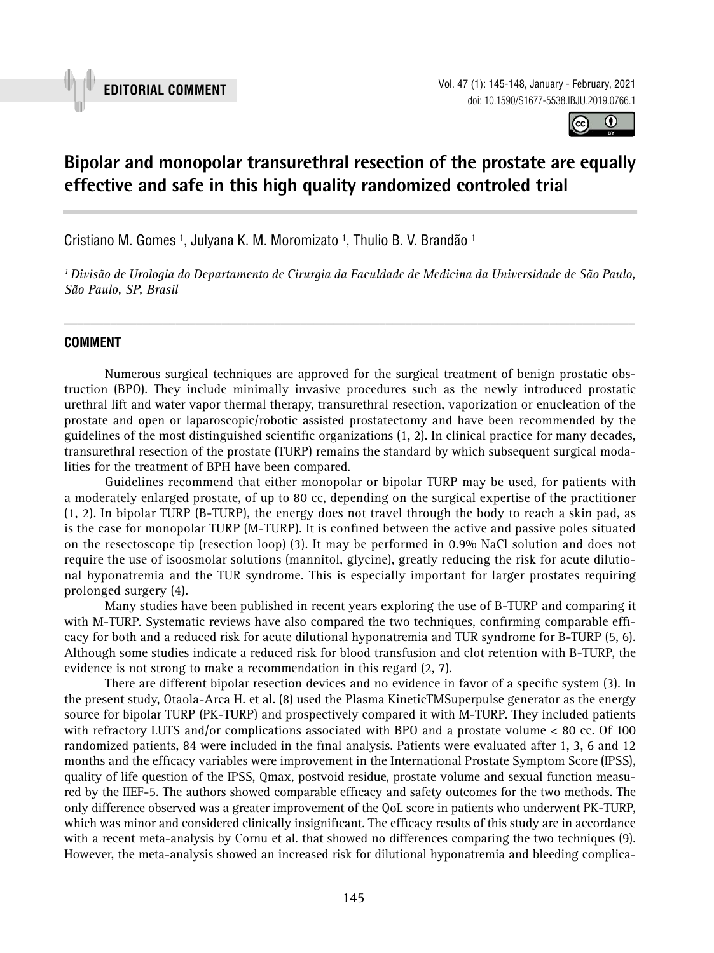



# **Bipolar and monopolar transurethral resection of the prostate are equally effective and safe in this high quality randomized controled trial 11111111 and the contract of the distribution contract of the contract of the state**

Cristiano M. Gomes <sup>1</sup>, Julyana K. M. Moromizato <sup>1</sup>, Thulio B. V. Brandão <sup>1</sup>

*1 Divisão de Urologia do Departamento de Cirurgia da Faculdade de Medicina da Universidade de São Paulo, São Paulo, SP, Brasil*

*\_\_\_\_\_\_\_\_\_\_\_\_\_\_\_\_\_\_\_\_\_\_\_\_\_\_\_\_\_\_\_\_\_\_\_\_\_\_\_\_\_\_\_\_\_\_\_\_\_\_\_\_\_\_\_\_\_\_\_\_\_\_\_\_\_\_\_\_\_\_\_\_\_\_\_\_\_\_\_\_\_\_\_\_\_\_\_*

# **COMMENT**

Numerous surgical techniques are approved for the surgical treatment of benign prostatic obstruction (BPO). They include minimally invasive procedures such as the newly introduced prostatic urethral lift and water vapor thermal therapy, transurethral resection, vaporization or enucleation of the prostate and open or laparoscopic/robotic assisted prostatectomy and have been recommended by the guidelines of the most distinguished scientific organizations (1, 2). In clinical practice for many decades, transurethral resection of the prostate (TURP) remains the standard by which subsequent surgical modalities for the treatment of BPH have been compared.

Guidelines recommend that either monopolar or bipolar TURP may be used, for patients with a moderately enlarged prostate, of up to 80 cc, depending on the surgical expertise of the practitioner (1, 2). In bipolar TURP (B-TURP), the energy does not travel through the body to reach a skin pad, as is the case for monopolar TURP (M-TURP). It is confined between the active and passive poles situated on the resectoscope tip (resection loop) (3). It may be performed in 0.9% NaCl solution and does not require the use of isoosmolar solutions (mannitol, glycine), greatly reducing the risk for acute dilutional hyponatremia and the TUR syndrome. This is especially important for larger prostates requiring prolonged surgery (4).

Many studies have been published in recent years exploring the use of B-TURP and comparing it with M-TURP. Systematic reviews have also compared the two techniques, confirming comparable efficacy for both and a reduced risk for acute dilutional hyponatremia and TUR syndrome for B-TURP (5, 6). Although some studies indicate a reduced risk for blood transfusion and clot retention with B-TURP, the evidence is not strong to make a recommendation in this regard (2, 7).

There are different bipolar resection devices and no evidence in favor of a specific system (3). In the present study, Otaola-Arca H. et al. (8) used the Plasma KineticTMSuperpulse generator as the energy source for bipolar TURP (PK-TURP) and prospectively compared it with M-TURP. They included patients with refractory LUTS and/or complications associated with BPO and a prostate volume < 80 cc. Of 100 randomized patients, 84 were included in the final analysis. Patients were evaluated after 1, 3, 6 and 12 months and the efficacy variables were improvement in the International Prostate Symptom Score (IPSS), quality of life question of the IPSS, Qmax, postvoid residue, prostate volume and sexual function measured by the IIEF-5. The authors showed comparable efficacy and safety outcomes for the two methods. The only difference observed was a greater improvement of the QoL score in patients who underwent PK-TURP, which was minor and considered clinically insignificant. The efficacy results of this study are in accordance with a recent meta-analysis by Cornu et al. that showed no differences comparing the two techniques (9). However, the meta-analysis showed an increased risk for dilutional hyponatremia and bleeding complica-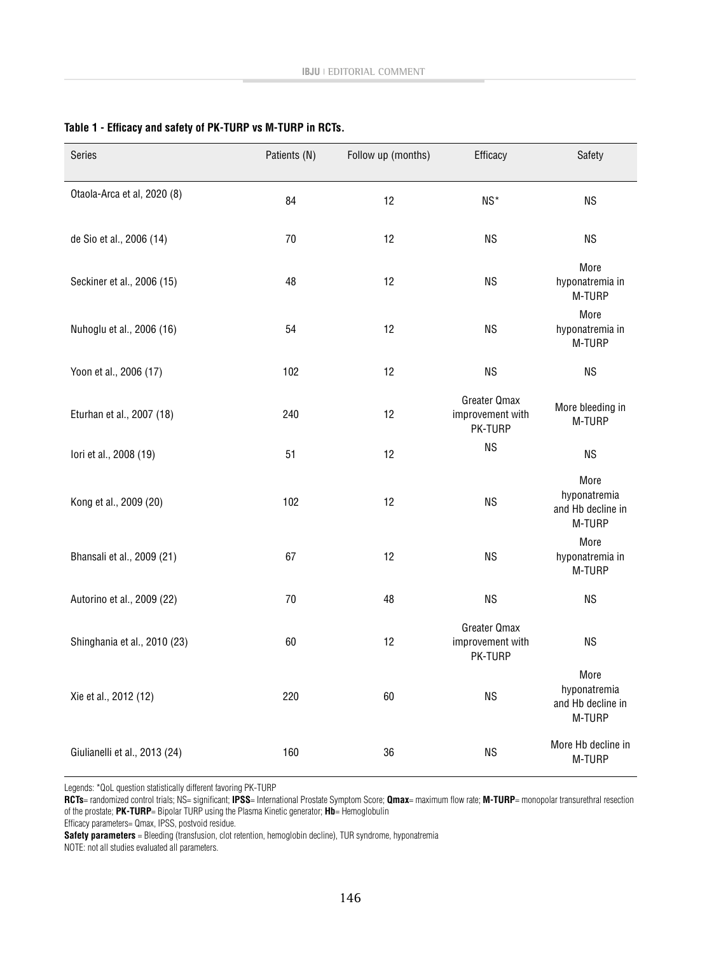| Series                        | Patients (N) | Follow up (months) | Efficacy                                    | Safety                                              |
|-------------------------------|--------------|--------------------|---------------------------------------------|-----------------------------------------------------|
| Otaola-Arca et al, 2020 (8)   | 84           | 12                 | NS*                                         | <b>NS</b>                                           |
| de Sio et al., 2006 (14)      | 70           | 12                 | <b>NS</b>                                   | <b>NS</b>                                           |
| Seckiner et al., 2006 (15)    | 48           | 12                 | <b>NS</b>                                   | More<br>hyponatremia in<br>M-TURP                   |
| Nuhoglu et al., 2006 (16)     | 54           | 12                 | <b>NS</b>                                   | More<br>hyponatremia in<br>M-TURP                   |
| Yoon et al., 2006 (17)        | 102          | 12                 | <b>NS</b>                                   | <b>NS</b>                                           |
| Eturhan et al., 2007 (18)     | 240          | 12                 | Greater Qmax<br>improvement with<br>PK-TURP | More bleeding in<br>M-TURP                          |
| lori et al., 2008 (19)        | 51           | 12                 | <b>NS</b>                                   | <b>NS</b>                                           |
| Kong et al., 2009 (20)        | 102          | 12                 | <b>NS</b>                                   | More<br>hyponatremia<br>and Hb decline in<br>M-TURP |
| Bhansali et al., 2009 (21)    | 67           | 12                 | <b>NS</b>                                   | More<br>hyponatremia in<br>M-TURP                   |
| Autorino et al., 2009 (22)    | 70           | 48                 | <b>NS</b>                                   | <b>NS</b>                                           |
| Shinghania et al., 2010 (23)  | 60           | 12                 | Greater Qmax<br>improvement with<br>PK-TURP | <b>NS</b>                                           |
| Xie et al., 2012 (12)         | 220          | 60                 | <b>NS</b>                                   | More<br>hyponatremia<br>and Hb decline in<br>M-TURP |
| Giulianelli et al., 2013 (24) | 160          | 36                 | <b>NS</b>                                   | More Hb decline in<br>M-TURP                        |

### **Table 1 - Efficacy and safety of PK-TURP vs M-TURP in RCTs.**

Legends: \*QoL question statistically different favoring PK-TURP

**RCTs**= randomized control trials; NS= significant; **IPSS**= International Prostate Symptom Score; **Qmax**= maximum flow rate; **M-TURP**= monopolar transurethral resection of the prostate; **PK-TURP**= Bipolar TURP using the Plasma Kinetic generator; **Hb**= Hemoglobulin

Efficacy parameters= Qmax, IPSS, postvoid residue.

**Safety parameters** = Bleeding (transfusion, clot retention, hemoglobin decline), TUR syndrome, hyponatremia

NOTE: not all studies evaluated all parameters.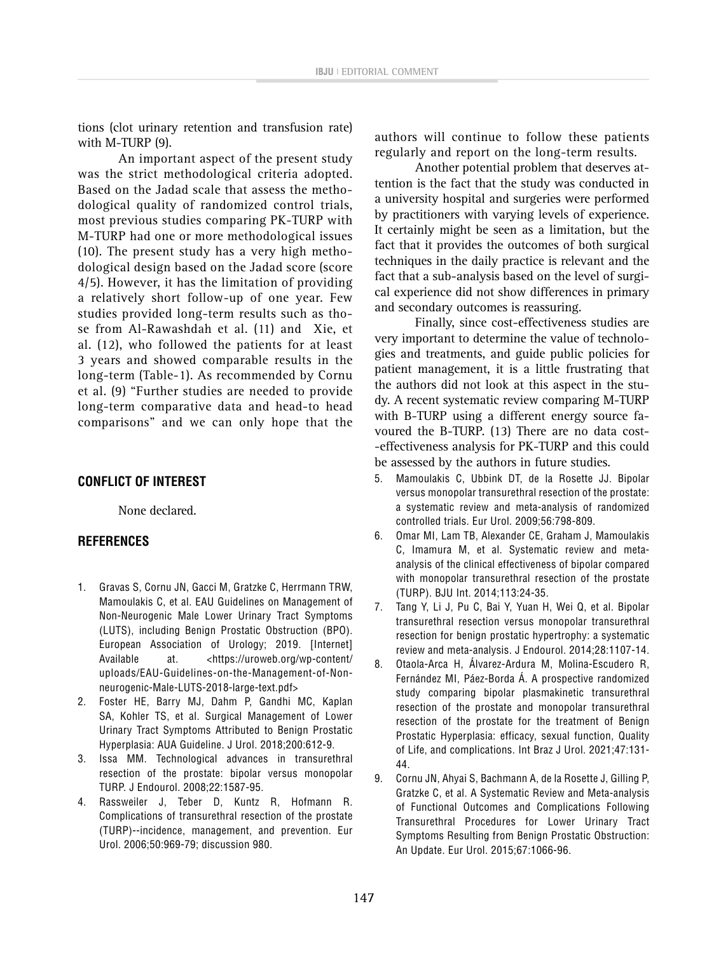tions (clot urinary retention and transfusion rate) with M-TURP (9).

An important aspect of the present study was the strict methodological criteria adopted. Based on the Jadad scale that assess the methodological quality of randomized control trials, most previous studies comparing PK-TURP with M-TURP had one or more methodological issues (10). The present study has a very high methodological design based on the Jadad score (score 4/5). However, it has the limitation of providing a relatively short follow-up of one year. Few studies provided long-term results such as those from Al-Rawashdah et al. (11) and Xie, et al. (12), who followed the patients for at least 3 years and showed comparable results in the long-term (Table-1). As recommended by Cornu et al. (9) "Further studies are needed to provide long-term comparative data and head-to head comparisons" and we can only hope that the

# **CONFLICT OF INTEREST**

None declared.

# **REFERENCES**

- 1. Gravas S, Cornu JN, Gacci M, Gratzke C, Herrmann TRW, Mamoulakis C, et al. EAU Guidelines on Management of Non-Neurogenic Male Lower Urinary Tract Symptoms (LUTS), including Benign Prostatic Obstruction (BPO). European Association of Urology; 2019. [Internet] Available at. <https://uroweb.org/wp-content/ uploads/EAU-Guidelines-on-the-Management-of-Nonneurogenic-Male-LUTS-2018-large-text.pdf>
- 2. Foster HE, Barry MJ, Dahm P, Gandhi MC, Kaplan SA, Kohler TS, et al. Surgical Management of Lower Urinary Tract Symptoms Attributed to Benign Prostatic Hyperplasia: AUA Guideline. J Urol. 2018;200:612-9.
- 3. Issa MM. Technological advances in transurethral resection of the prostate: bipolar versus monopolar TURP. J Endourol. 2008;22:1587-95.
- 4. Rassweiler J, Teber D, Kuntz R, Hofmann R. Complications of transurethral resection of the prostate (TURP)--incidence, management, and prevention. Eur Urol. 2006;50:969-79; discussion 980.

authors will continue to follow these patients regularly and report on the long-term results.

Another potential problem that deserves attention is the fact that the study was conducted in a university hospital and surgeries were performed by practitioners with varying levels of experience. It certainly might be seen as a limitation, but the fact that it provides the outcomes of both surgical techniques in the daily practice is relevant and the fact that a sub-analysis based on the level of surgical experience did not show differences in primary and secondary outcomes is reassuring.

Finally, since cost-effectiveness studies are very important to determine the value of technologies and treatments, and guide public policies for patient management, it is a little frustrating that the authors did not look at this aspect in the study. A recent systematic review comparing M-TURP with B-TURP using a different energy source favoured the B-TURP. (13) There are no data cost- -effectiveness analysis for PK-TURP and this could be assessed by the authors in future studies.

- 5. Mamoulakis C, Ubbink DT, de la Rosette JJ. Bipolar versus monopolar transurethral resection of the prostate: a systematic review and meta-analysis of randomized controlled trials. Eur Urol. 2009;56:798-809.
- 6. Omar MI, Lam TB, Alexander CE, Graham J, Mamoulakis C, Imamura M, et al. Systematic review and metaanalysis of the clinical effectiveness of bipolar compared with monopolar transurethral resection of the prostate (TURP). BJU Int. 2014;113:24-35.
- 7. Tang Y, Li J, Pu C, Bai Y, Yuan H, Wei Q, et al. Bipolar transurethral resection versus monopolar transurethral resection for benign prostatic hypertrophy: a systematic review and meta-analysis. J Endourol. 2014;28:1107-14.
- 8. Otaola-Arca H, Álvarez-Ardura M, Molina-Escudero R, Fernández MI, Páez-Borda Á. A prospective randomized study comparing bipolar plasmakinetic transurethral resection of the prostate and monopolar transurethral resection of the prostate for the treatment of Benign Prostatic Hyperplasia: efficacy, sexual function, Quality of Life, and complications. Int Braz J Urol. 2021;47:131- 44.
- 9. Cornu JN, Ahyai S, Bachmann A, de la Rosette J, Gilling P, Gratzke C, et al. A Systematic Review and Meta-analysis of Functional Outcomes and Complications Following Transurethral Procedures for Lower Urinary Tract Symptoms Resulting from Benign Prostatic Obstruction: An Update. Eur Urol. 2015;67:1066-96.